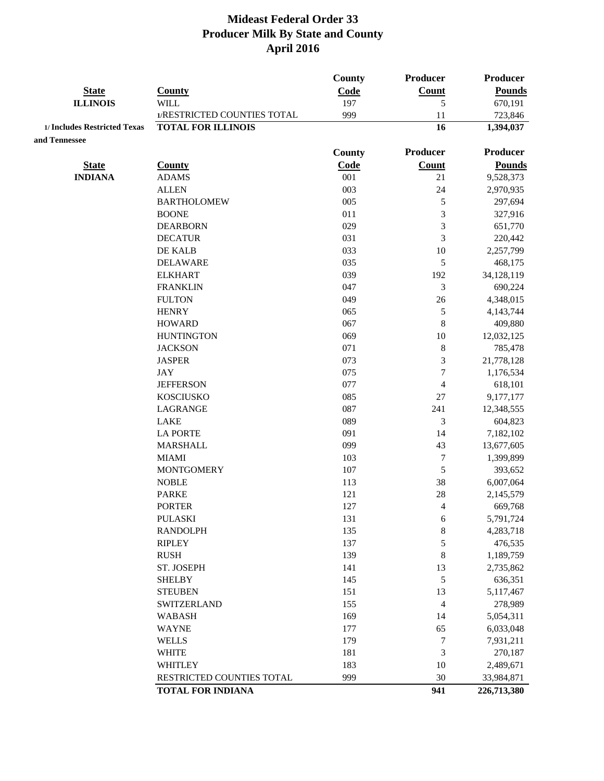|                              |                             | County | Producer       | <b>Producer</b> |
|------------------------------|-----------------------------|--------|----------------|-----------------|
| <b>State</b>                 | <b>County</b>               | Code   | Count          | <b>Pounds</b>   |
| <b>ILLINOIS</b>              | WILL                        | 197    | 5              | 670,191         |
|                              | 1/RESTRICTED COUNTIES TOTAL | 999    | 11             | 723,846         |
| 1/ Includes Restricted Texas | <b>TOTAL FOR ILLINOIS</b>   |        | 16             | 1,394,037       |
| and Tennessee                |                             |        |                |                 |
|                              |                             | County | Producer       | <b>Producer</b> |
| <b>State</b>                 | <b>County</b>               | Code   | Count          | <b>Pounds</b>   |
| <b>INDIANA</b>               | <b>ADAMS</b>                | 001    | 21             | 9,528,373       |
|                              | <b>ALLEN</b>                | 003    | 24             | 2,970,935       |
|                              | <b>BARTHOLOMEW</b>          | 005    | 5              | 297,694         |
|                              | <b>BOONE</b>                | 011    | 3              | 327,916         |
|                              | <b>DEARBORN</b>             | 029    | 3              | 651,770         |
|                              | <b>DECATUR</b>              | 031    | 3              | 220,442         |
|                              | DE KALB                     | 033    | 10             | 2,257,799       |
|                              | <b>DELAWARE</b>             | 035    | 5              | 468,175         |
|                              | <b>ELKHART</b>              | 039    | 192            | 34,128,119      |
|                              | <b>FRANKLIN</b>             | 047    | $\mathfrak{Z}$ | 690,224         |
|                              | <b>FULTON</b>               | 049    | 26             | 4,348,015       |
|                              | <b>HENRY</b>                | 065    | $\sqrt{5}$     | 4,143,744       |
|                              | <b>HOWARD</b>               | 067    | 8              | 409,880         |
|                              | <b>HUNTINGTON</b>           | 069    | 10             | 12,032,125      |
|                              | <b>JACKSON</b>              | 071    | $\,8\,$        | 785,478         |
|                              | <b>JASPER</b>               | 073    | 3              | 21,778,128      |
|                              | <b>JAY</b>                  | 075    | $\overline{7}$ | 1,176,534       |
|                              | <b>JEFFERSON</b>            | 077    | 4              | 618,101         |
|                              | <b>KOSCIUSKO</b>            | 085    | 27             | 9,177,177       |
|                              | LAGRANGE                    | 087    | 241            | 12,348,555      |
|                              | <b>LAKE</b>                 | 089    | 3              | 604,823         |
|                              | <b>LA PORTE</b>             | 091    | 14             | 7,182,102       |
|                              | <b>MARSHALL</b>             | 099    | 43             | 13,677,605      |
|                              | <b>MIAMI</b>                | 103    | $\tau$         | 1,399,899       |
|                              | <b>MONTGOMERY</b>           | 107    | $\sqrt{5}$     | 393,652         |
|                              | <b>NOBLE</b>                | 113    | 38             | 6,007,064       |
|                              | <b>PARKE</b>                | 121    | 28             | 2,145,579       |
|                              | <b>PORTER</b>               | 127    | 4              | 669,768         |
|                              | <b>PULASKI</b>              | 131    | 6              | 5,791,724       |
|                              | <b>RANDOLPH</b>             | 135    | $\,8\,$        | 4,283,718       |
|                              | <b>RIPLEY</b>               | 137    | 5              | 476,535         |
|                              | <b>RUSH</b>                 | 139    | $\,8\,$        | 1,189,759       |
|                              | ST. JOSEPH                  | 141    | 13             | 2,735,862       |
|                              | <b>SHELBY</b>               | 145    | $\sqrt{5}$     | 636,351         |
|                              | <b>STEUBEN</b>              | 151    | 13             | 5,117,467       |
|                              | SWITZERLAND                 | 155    | $\overline{4}$ | 278,989         |
|                              | <b>WABASH</b>               | 169    | 14             | 5,054,311       |
|                              | <b>WAYNE</b>                | 177    | 65             | 6,033,048       |
|                              | <b>WELLS</b>                | 179    | 7              | 7,931,211       |
|                              | <b>WHITE</b>                | 181    | $\mathfrak{Z}$ | 270,187         |
|                              | <b>WHITLEY</b>              | 183    | 10             | 2,489,671       |
|                              | RESTRICTED COUNTIES TOTAL   | 999    | 30             | 33,984,871      |
|                              | <b>TOTAL FOR INDIANA</b>    |        | 941            | 226,713,380     |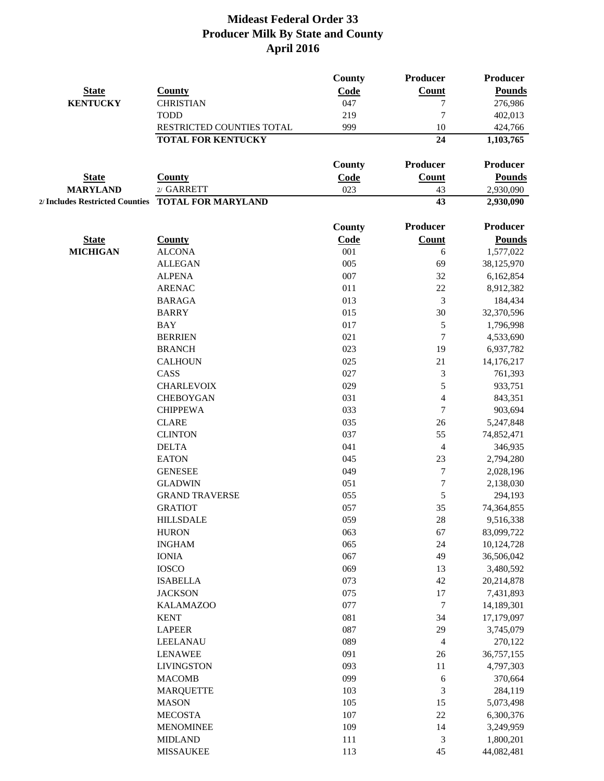|                                 |                           | County        | Producer         | Producer      |
|---------------------------------|---------------------------|---------------|------------------|---------------|
| <b>State</b>                    | <b>County</b>             | Code          | Count            | <b>Pounds</b> |
| <b>KENTUCKY</b>                 | <b>CHRISTIAN</b>          | 047           | 7                | 276,986       |
|                                 | <b>TODD</b>               | 219           | 7                | 402,013       |
|                                 | RESTRICTED COUNTIES TOTAL | 999           | 10               | 424,766       |
|                                 | <b>TOTAL FOR KENTUCKY</b> |               | 24               | 1,103,765     |
|                                 |                           | <b>County</b> | Producer         | Producer      |
| <b>State</b>                    | <b>County</b>             | Code          | Count            | <b>Pounds</b> |
| <b>MARYLAND</b>                 | 2/ GARRETT                | 023           | 43               | 2,930,090     |
| 2/ Includes Restricted Counties | <b>TOTAL FOR MARYLAND</b> |               | 43               | 2,930,090     |
|                                 |                           |               |                  |               |
|                                 |                           | <b>County</b> | <b>Producer</b>  | Producer      |
| <b>State</b>                    | <b>County</b>             | Code          | <b>Count</b>     | <b>Pounds</b> |
| <b>MICHIGAN</b>                 | <b>ALCONA</b>             | 001           | 6                | 1,577,022     |
|                                 | <b>ALLEGAN</b>            | 005           | 69               | 38,125,970    |
|                                 | <b>ALPENA</b>             | 007           | 32               | 6,162,854     |
|                                 | <b>ARENAC</b>             | 011           | 22               | 8,912,382     |
|                                 | <b>BARAGA</b>             | 013           | 3                | 184,434       |
|                                 | <b>BARRY</b>              | 015           | 30               | 32,370,596    |
|                                 | <b>BAY</b>                | 017           | $\sqrt{5}$       | 1,796,998     |
|                                 | <b>BERRIEN</b>            | 021           | 7                | 4,533,690     |
|                                 | <b>BRANCH</b>             | 023           | 19               | 6,937,782     |
|                                 | <b>CALHOUN</b>            | 025           | 21               | 14,176,217    |
|                                 | CASS                      | 027           | 3                | 761,393       |
|                                 | <b>CHARLEVOIX</b>         | 029           | 5                | 933,751       |
|                                 | <b>CHEBOYGAN</b>          | 031           | $\overline{4}$   | 843,351       |
|                                 | <b>CHIPPEWA</b>           | 033           | 7                | 903,694       |
|                                 | <b>CLARE</b>              | 035           | 26               | 5,247,848     |
|                                 | <b>CLINTON</b>            | 037           | 55               | 74,852,471    |
|                                 | <b>DELTA</b>              | 041           | $\overline{4}$   | 346,935       |
|                                 | <b>EATON</b>              | 045           | 23               | 2,794,280     |
|                                 | <b>GENESEE</b>            | 049           | $\tau$           | 2,028,196     |
|                                 | <b>GLADWIN</b>            | 051           | $\sqrt{ }$       | 2,138,030     |
|                                 | <b>GRAND TRAVERSE</b>     | 055           | 5                | 294,193       |
|                                 | <b>GRATIOT</b>            | 057           | 35               | 74,364,855    |
|                                 | <b>HILLSDALE</b>          | 059           | 28               | 9,516,338     |
|                                 | <b>HURON</b>              | 063           | 67               | 83,099,722    |
|                                 | <b>INGHAM</b>             | 065           | 24               | 10,124,728    |
|                                 | <b>IONIA</b>              | 067           | 49               | 36,506,042    |
|                                 | <b>IOSCO</b>              | 069           | 13               | 3,480,592     |
|                                 | <b>ISABELLA</b>           | 073           | 42               | 20,214,878    |
|                                 | <b>JACKSON</b>            | 075           | 17               | 7,431,893     |
|                                 | <b>KALAMAZOO</b>          | 077           | $\boldsymbol{7}$ | 14,189,301    |
|                                 | <b>KENT</b>               | 081           | 34               | 17,179,097    |
|                                 | <b>LAPEER</b>             | 087           | 29               | 3,745,079     |
|                                 | LEELANAU                  | 089           | $\overline{4}$   | 270,122       |
|                                 | <b>LENAWEE</b>            | 091           | 26               | 36,757,155    |
|                                 | <b>LIVINGSTON</b>         | 093           | 11               | 4,797,303     |
|                                 | <b>MACOMB</b>             | 099           | 6                | 370,664       |
|                                 | <b>MARQUETTE</b>          | 103           | $\mathfrak{Z}$   | 284,119       |
|                                 | <b>MASON</b>              | 105           | 15               | 5,073,498     |
|                                 | <b>MECOSTA</b>            | 107           | $22\,$           | 6,300,376     |
|                                 | <b>MENOMINEE</b>          | 109           | 14               | 3,249,959     |
|                                 | <b>MIDLAND</b>            | $111\,$       | 3                | 1,800,201     |
|                                 | <b>MISSAUKEE</b>          | 113           | 45               | 44,082,481    |
|                                 |                           |               |                  |               |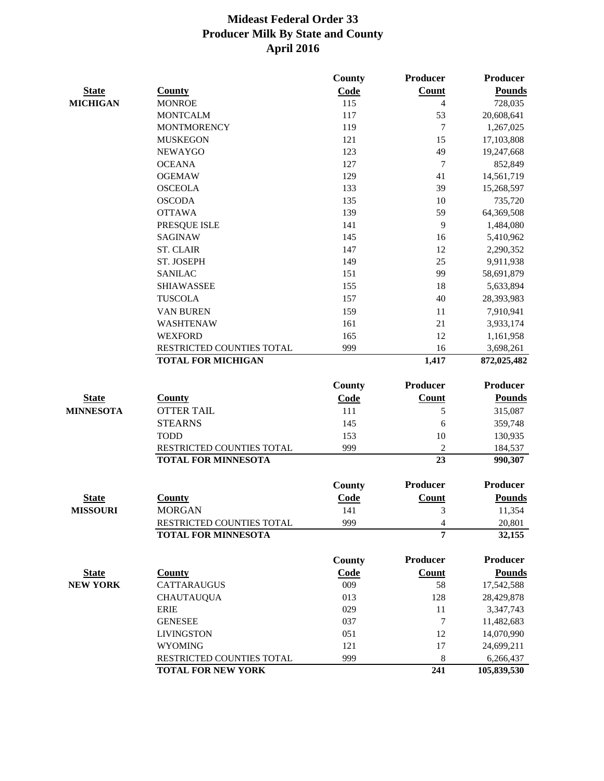|                  |                                     | <b>County</b> | Producer        | <b>Producer</b>          |
|------------------|-------------------------------------|---------------|-----------------|--------------------------|
| <b>State</b>     | <b>County</b>                       | Code          | Count           | <b>Pounds</b>            |
| <b>MICHIGAN</b>  | <b>MONROE</b>                       | 115           | 4               | 728,035                  |
|                  | <b>MONTCALM</b>                     | 117           | 53              | 20,608,641               |
|                  | <b>MONTMORENCY</b>                  | 119           | $\overline{7}$  | 1,267,025                |
|                  | <b>MUSKEGON</b>                     | 121           | 15              | 17,103,808               |
|                  | <b>NEWAYGO</b>                      | 123           | 49              | 19,247,668               |
|                  | <b>OCEANA</b>                       | 127           | 7               | 852,849                  |
|                  | <b>OGEMAW</b>                       | 129           | 41              | 14,561,719               |
|                  | <b>OSCEOLA</b>                      | 133           | 39              | 15,268,597               |
|                  | <b>OSCODA</b>                       | 135           | 10              | 735,720                  |
|                  | <b>OTTAWA</b>                       | 139           | 59              | 64,369,508               |
|                  | PRESQUE ISLE                        | 141           | 9               | 1,484,080                |
|                  | <b>SAGINAW</b>                      | 145           | 16              | 5,410,962                |
|                  | <b>ST. CLAIR</b>                    | 147           | 12              | 2,290,352                |
|                  | ST. JOSEPH                          | 149           | 25              | 9,911,938                |
|                  | <b>SANILAC</b>                      | 151           | 99              | 58,691,879               |
|                  | <b>SHIAWASSEE</b>                   | 155           | 18              | 5,633,894                |
|                  | <b>TUSCOLA</b>                      | 157           | 40              | 28,393,983               |
|                  | <b>VAN BUREN</b>                    | 159           | 11              | 7,910,941                |
|                  | <b>WASHTENAW</b>                    | 161           | 21              | 3,933,174                |
|                  | <b>WEXFORD</b>                      | 165           | 12              | 1,161,958                |
|                  | RESTRICTED COUNTIES TOTAL           | 999           | 16              | 3,698,261                |
|                  | <b>TOTAL FOR MICHIGAN</b>           |               | 1,417           | 872,025,482              |
|                  |                                     |               |                 |                          |
|                  |                                     | County        | <b>Producer</b> | <b>Producer</b>          |
| <b>State</b>     | <b>County</b>                       | Code          | <b>Count</b>    | <b>Pounds</b>            |
| <b>MINNESOTA</b> | <b>OTTER TAIL</b>                   | 111           | 5               | 315,087                  |
|                  | <b>STEARNS</b>                      | 145           | 6               | 359,748                  |
|                  | <b>TODD</b>                         | 153           | 10              | 130,935                  |
|                  | RESTRICTED COUNTIES TOTAL           | 999           | $\overline{2}$  | 184,537                  |
|                  | <b>TOTAL FOR MINNESOTA</b>          |               | 23              | 990,307                  |
|                  |                                     |               |                 |                          |
|                  |                                     | <b>County</b> | Producer        | <b>Producer</b>          |
| <b>State</b>     | <b>County</b>                       | Code          | Count           | <b>Pounds</b>            |
| <b>MISSOURI</b>  | <b>MORGAN</b>                       | 141           | 3               | 11,354                   |
|                  | RESTRICTED COUNTIES TOTAL           | 999           | $\overline{4}$  | 20,801                   |
|                  | <b>TOTAL FOR MINNESOTA</b>          |               | $\overline{7}$  | 32,155                   |
|                  |                                     |               | <b>Producer</b> | <b>Producer</b>          |
|                  |                                     | County        |                 |                          |
| <b>State</b>     | <b>County</b>                       | Code          | Count           | <b>Pounds</b>            |
| <b>NEW YORK</b>  | CATTARAUGUS                         | 009           | 58              | 17,542,588               |
|                  | <b>CHAUTAUQUA</b>                   | 013           | 128             | 28,429,878               |
|                  | <b>ERIE</b>                         | 029           | 11              | 3,347,743                |
|                  | <b>GENESEE</b>                      | 037           | $\tau$          | 11,482,683               |
|                  | <b>LIVINGSTON</b><br><b>WYOMING</b> | 051<br>121    | 12<br>17        | 14,070,990               |
|                  | RESTRICTED COUNTIES TOTAL           | 999           | $\,8\,$         | 24,699,211               |
|                  | <b>TOTAL FOR NEW YORK</b>           |               | 241             | 6,266,437<br>105,839,530 |
|                  |                                     |               |                 |                          |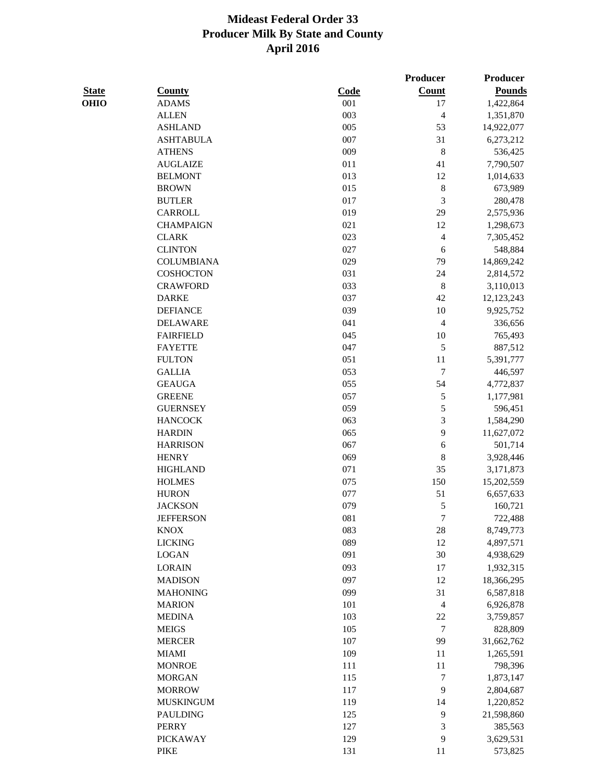|              |                   |      | Producer                | Producer      |
|--------------|-------------------|------|-------------------------|---------------|
| <b>State</b> | <b>County</b>     | Code | Count                   | <b>Pounds</b> |
| OHIO         | <b>ADAMS</b>      | 001  | 17                      | 1,422,864     |
|              | <b>ALLEN</b>      | 003  | $\overline{4}$          | 1,351,870     |
|              | <b>ASHLAND</b>    | 005  | 53                      | 14,922,077    |
|              | <b>ASHTABULA</b>  | 007  | 31                      | 6,273,212     |
|              | <b>ATHENS</b>     | 009  | $\,8\,$                 | 536,425       |
|              | <b>AUGLAIZE</b>   | 011  | 41                      | 7,790,507     |
|              | <b>BELMONT</b>    | 013  | 12                      | 1,014,633     |
|              | <b>BROWN</b>      | 015  | $\,8\,$                 | 673,989       |
|              | <b>BUTLER</b>     | 017  | $\mathfrak{Z}$          | 280,478       |
|              | CARROLL           | 019  | 29                      | 2,575,936     |
|              | <b>CHAMPAIGN</b>  | 021  | 12                      | 1,298,673     |
|              | <b>CLARK</b>      | 023  | $\overline{\mathbf{4}}$ | 7,305,452     |
|              | <b>CLINTON</b>    | 027  | 6                       | 548,884       |
|              | <b>COLUMBIANA</b> | 029  | 79                      | 14,869,242    |
|              | COSHOCTON         | 031  | 24                      | 2,814,572     |
|              | <b>CRAWFORD</b>   | 033  | $\,8\,$                 | 3,110,013     |
|              | <b>DARKE</b>      | 037  | 42                      | 12,123,243    |
|              | <b>DEFIANCE</b>   | 039  | 10                      | 9,925,752     |
|              | <b>DELAWARE</b>   | 041  | 4                       | 336,656       |
|              | <b>FAIRFIELD</b>  | 045  | 10                      | 765,493       |
|              | <b>FAYETTE</b>    | 047  | 5                       | 887,512       |
|              | <b>FULTON</b>     | 051  | $11\,$                  | 5,391,777     |
|              | <b>GALLIA</b>     | 053  | 7                       | 446,597       |
|              | <b>GEAUGA</b>     | 055  | 54                      | 4,772,837     |
|              | <b>GREENE</b>     | 057  | $\sqrt{5}$              | 1,177,981     |
|              | <b>GUERNSEY</b>   | 059  | 5                       | 596,451       |
|              | <b>HANCOCK</b>    | 063  | 3                       | 1,584,290     |
|              | <b>HARDIN</b>     | 065  | 9                       | 11,627,072    |
|              | <b>HARRISON</b>   | 067  | 6                       | 501,714       |
|              | <b>HENRY</b>      | 069  | $\,8\,$                 | 3,928,446     |
|              | <b>HIGHLAND</b>   | 071  | 35                      | 3,171,873     |
|              | <b>HOLMES</b>     | 075  | 150                     | 15,202,559    |
|              | <b>HURON</b>      | 077  | 51                      | 6,657,633     |
|              | <b>JACKSON</b>    | 079  | 5                       | 160,721       |
|              | <b>JEFFERSON</b>  | 081  | $\tau$                  | 722,488       |
|              | <b>KNOX</b>       | 083  | 28                      | 8,749,773     |
|              | <b>LICKING</b>    | 089  | 12                      | 4,897,571     |
|              | <b>LOGAN</b>      | 091  | 30                      | 4,938,629     |
|              | <b>LORAIN</b>     | 093  | 17                      | 1,932,315     |
|              | <b>MADISON</b>    | 097  | 12                      | 18,366,295    |
|              | <b>MAHONING</b>   | 099  | 31                      | 6,587,818     |
|              | <b>MARION</b>     | 101  | $\overline{4}$          | 6,926,878     |
|              | <b>MEDINA</b>     | 103  | $22\,$                  | 3,759,857     |
|              | <b>MEIGS</b>      | 105  | $\tau$                  | 828,809       |
|              | <b>MERCER</b>     | 107  | 99                      | 31,662,762    |
|              | <b>MIAMI</b>      | 109  | 11                      | 1,265,591     |
|              | <b>MONROE</b>     | 111  | 11                      | 798,396       |
|              | <b>MORGAN</b>     | 115  | 7                       | 1,873,147     |
|              | <b>MORROW</b>     | 117  | 9                       | 2,804,687     |
|              | <b>MUSKINGUM</b>  | 119  | 14                      | 1,220,852     |
|              | <b>PAULDING</b>   | 125  | 9                       | 21,598,860    |
|              | <b>PERRY</b>      | 127  | 3                       | 385,563       |
|              | <b>PICKAWAY</b>   | 129  | $\mathbf{9}$            | 3,629,531     |
|              | <b>PIKE</b>       | 131  | 11                      | 573,825       |
|              |                   |      |                         |               |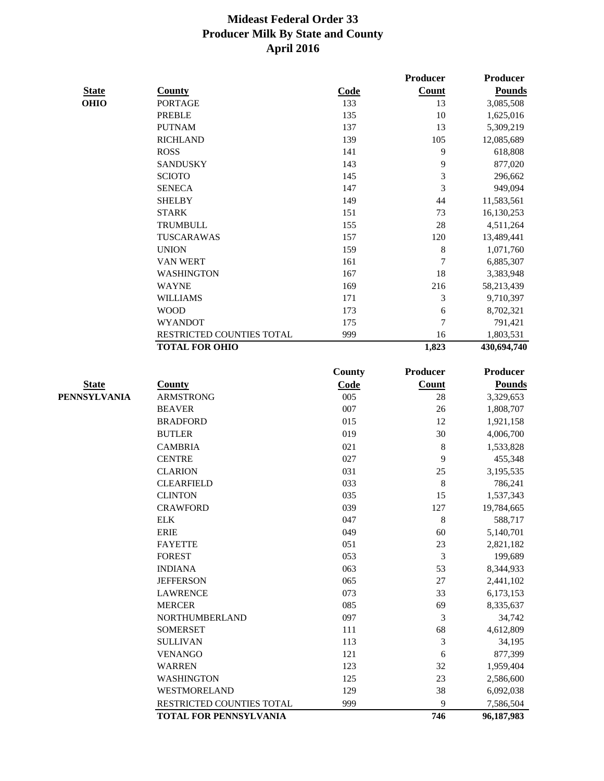|              |                               |               | Producer        | Producer        |
|--------------|-------------------------------|---------------|-----------------|-----------------|
| <b>State</b> | <b>County</b>                 | Code          | <b>Count</b>    | <b>Pounds</b>   |
| <b>OHIO</b>  | <b>PORTAGE</b>                | 133           | 13              | 3,085,508       |
|              | <b>PREBLE</b>                 | 135           | 10              | 1,625,016       |
|              | <b>PUTNAM</b>                 | 137           | 13              | 5,309,219       |
|              | <b>RICHLAND</b>               | 139           | 105             | 12,085,689      |
|              | <b>ROSS</b>                   | 141           | 9               | 618,808         |
|              | <b>SANDUSKY</b>               | 143           | 9               | 877,020         |
|              | <b>SCIOTO</b>                 | 145           | 3               | 296,662         |
|              | <b>SENECA</b>                 | 147           | 3               | 949,094         |
|              | <b>SHELBY</b>                 | 149           | 44              | 11,583,561      |
|              | <b>STARK</b>                  | 151           | 73              | 16,130,253      |
|              | <b>TRUMBULL</b>               | 155           | 28              | 4,511,264       |
|              | TUSCARAWAS                    | 157           | 120             | 13,489,441      |
|              | <b>UNION</b>                  | 159           | $\,8\,$         | 1,071,760       |
|              | <b>VAN WERT</b>               | 161           | 7               | 6,885,307       |
|              | <b>WASHINGTON</b>             | 167           | 18              | 3,383,948       |
|              | <b>WAYNE</b>                  | 169           | 216             | 58,213,439      |
|              | <b>WILLIAMS</b>               | 171           | 3               | 9,710,397       |
|              | <b>WOOD</b>                   | 173           | 6               | 8,702,321       |
|              | <b>WYANDOT</b>                | 175           | 7               | 791,421         |
|              | RESTRICTED COUNTIES TOTAL     | 999           | 16              | 1,803,531       |
|              | <b>TOTAL FOR OHIO</b>         |               | 1,823           | 430,694,740     |
|              |                               | <b>County</b> | <b>Producer</b> | <b>Producer</b> |
| <b>State</b> | <b>County</b>                 | Code          | <b>Count</b>    | <b>Pounds</b>   |
| PENNSYLVANIA | <b>ARMSTRONG</b>              | 005           | 28              | 3,329,653       |
|              | <b>BEAVER</b>                 | 007           | 26              | 1,808,707       |
|              | <b>BRADFORD</b>               | 015           | 12              | 1,921,158       |
|              | <b>BUTLER</b>                 | 019           | 30              | 4,006,700       |
|              | <b>CAMBRIA</b>                | 021           | $\,$ 8 $\,$     | 1,533,828       |
|              | <b>CENTRE</b>                 | 027           | 9               | 455,348         |
|              | <b>CLARION</b>                | 031           | 25              | 3,195,535       |
|              | <b>CLEARFIELD</b>             | 033           | $\,8\,$         | 786,241         |
|              | <b>CLINTON</b>                | 035           | 15              | 1,537,343       |
|              | <b>CRAWFORD</b>               | 039           | 127             |                 |
|              |                               | 047           |                 | 19,784,665      |
|              | ${\rm ELK}$                   |               | 8               | 588,717         |
|              | <b>ERIE</b><br><b>FAYETTE</b> | 049           | 60              | 5,140,701       |
|              |                               | 051           | 23              | 2,821,182       |
|              | <b>FOREST</b>                 | 053           | $\mathfrak{Z}$  | 199,689         |
|              | <b>INDIANA</b>                | 063           | 53              | 8,344,933       |
|              | <b>JEFFERSON</b>              | 065           | $27\,$          | 2,441,102       |
|              | <b>LAWRENCE</b>               | 073           | 33              | 6,173,153       |
|              | <b>MERCER</b>                 | 085           | 69              | 8,335,637       |
|              | <b>NORTHUMBERLAND</b>         | 097           | $\mathfrak{Z}$  | 34,742          |
|              | <b>SOMERSET</b>               | 111           | 68              | 4,612,809       |
|              | <b>SULLIVAN</b>               | 113           | 3               | 34,195          |
|              | <b>VENANGO</b>                | 121           | 6               | 877,399         |
|              | <b>WARREN</b>                 | 123           | 32              | 1,959,404       |
|              | <b>WASHINGTON</b>             | 125           | 23              | 2,586,600       |
|              | WESTMORELAND                  | 129           | 38              | 6,092,038       |
|              | RESTRICTED COUNTIES TOTAL     | 999           | 9               | 7,586,504       |
|              | TOTAL FOR PENNSYLVANIA        |               | 746             | 96,187,983      |